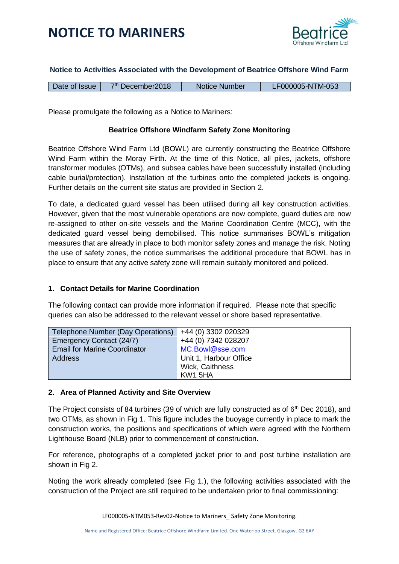



## **Notice to Activities Associated with the Development of Beatrice Offshore Wind Farm**

|--|

Please promulgate the following as a Notice to Mariners:

## **Beatrice Offshore Windfarm Safety Zone Monitoring**

Beatrice Offshore Wind Farm Ltd (BOWL) are currently constructing the Beatrice Offshore Wind Farm within the Moray Firth. At the time of this Notice, all piles, jackets, offshore transformer modules (OTMs), and subsea cables have been successfully installed (including cable burial/protection). Installation of the turbines onto the completed jackets is ongoing. Further details on the current site status are provided in Section 2.

To date, a dedicated guard vessel has been utilised during all key construction activities. However, given that the most vulnerable operations are now complete, guard duties are now re-assigned to other on-site vessels and the Marine Coordination Centre (MCC), with the dedicated guard vessel being demobilised. This notice summarises BOWL's mitigation measures that are already in place to both monitor safety zones and manage the risk. Noting the use of safety zones, the notice summarises the additional procedure that BOWL has in place to ensure that any active safety zone will remain suitably monitored and policed.

### **1. Contact Details for Marine Coordination**

The following contact can provide more information if required. Please note that specific queries can also be addressed to the relevant vessel or shore based representative.

| Telephone Number (Day Operations)   | +44 (0) 3302 020329    |
|-------------------------------------|------------------------|
| Emergency Contact (24/7)            | +44 (0) 7342 028207    |
| <b>Email for Marine Coordinator</b> | MC.Bowl@sse.com        |
| <b>Address</b>                      | Unit 1, Harbour Office |
|                                     | Wick, Caithness        |
|                                     | KW1 5HA                |

### **2. Area of Planned Activity and Site Overview**

The Project consists of 84 turbines (39 of which are fully constructed as of  $6<sup>th</sup>$  Dec 2018), and two OTMs, as shown in Fig 1. This figure includes the buoyage currently in place to mark the construction works, the positions and specifications of which were agreed with the Northern Lighthouse Board (NLB) prior to commencement of construction.

For reference, photographs of a completed jacket prior to and post turbine installation are shown in Fig 2.

Noting the work already completed (see Fig 1.), the following activities associated with the construction of the Project are still required to be undertaken prior to final commissioning: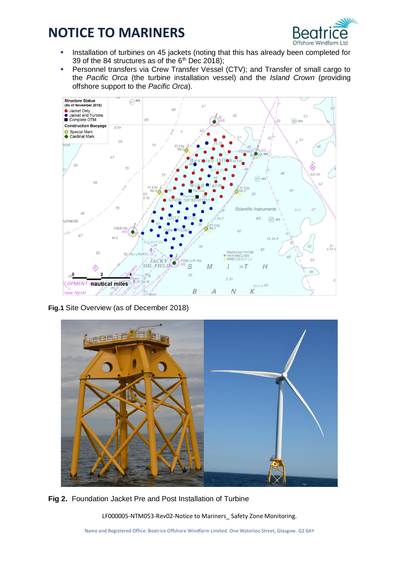

- Installation of turbines on 45 jackets (noting that this has already been completed for 39 of the 84 structures as of the  $6<sup>th</sup>$  Dec 2018);
- Personnel transfers via Crew Transfer Vessel (CTV); and Transfer of small cargo to the *Pacific Orca* (the turbine installation vessel) and the *Island Crown* (providing offshore support to the *Pacific Orca*).



**Fig.1** Site Overview (as of December 2018)



**Fig 2.** Foundation Jacket Pre and Post Installation of Turbine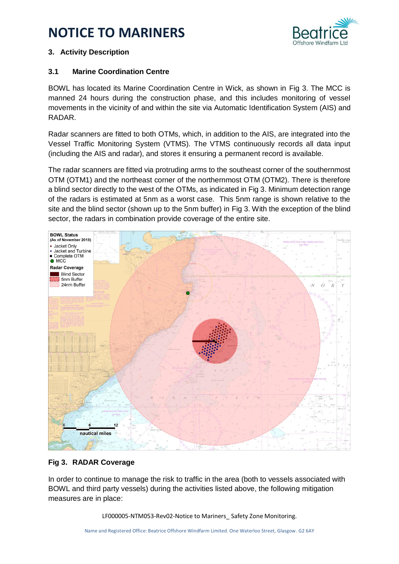

# **3. Activity Description**

# **3.1 Marine Coordination Centre**

BOWL has located its Marine Coordination Centre in Wick, as shown in Fig 3. The MCC is manned 24 hours during the construction phase, and this includes monitoring of vessel movements in the vicinity of and within the site via Automatic Identification System (AIS) and RADAR.

Radar scanners are fitted to both OTMs, which, in addition to the AIS, are integrated into the Vessel Traffic Monitoring System (VTMS). The VTMS continuously records all data input (including the AIS and radar), and stores it ensuring a permanent record is available.

The radar scanners are fitted via protruding arms to the southeast corner of the southernmost OTM (OTM1) and the northeast corner of the northernmost OTM (OTM2). There is therefore a blind sector directly to the west of the OTMs, as indicated in Fig 3. Minimum detection range of the radars is estimated at 5nm as a worst case. This 5nm range is shown relative to the site and the blind sector (shown up to the 5nm buffer) in Fig 3. With the exception of the blind sector, the radars in combination provide coverage of the entire site.



# **Fig 3. RADAR Coverage**

In order to continue to manage the risk to traffic in the area (both to vessels associated with BOWL and third party vessels) during the activities listed above, the following mitigation measures are in place: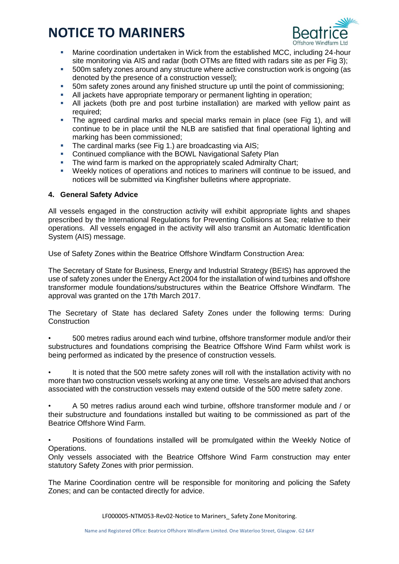

- Marine coordination undertaken in Wick from the established MCC, including 24-hour site monitoring via AIS and radar (both OTMs are fitted with radars site as per Fig 3);
- 500m safety zones around any structure where active construction work is ongoing (as denoted by the presence of a construction vessel);
- 50m safety zones around any finished structure up until the point of commissioning;
- All jackets have appropriate temporary or permanent lighting in operation;
- All jackets (both pre and post turbine installation) are marked with yellow paint as required:
- The agreed cardinal marks and special marks remain in place (see Fig 1), and will continue to be in place until the NLB are satisfied that final operational lighting and marking has been commissioned;
- The cardinal marks (see Fig 1.) are broadcasting via AIS;
- **EXECONTERGHTM CONTERCHTM** Continued compliance with the BOWL Navigational Safety Plan
- The wind farm is marked on the appropriately scaled Admiralty Chart;
- Weekly notices of operations and notices to mariners will continue to be issued, and notices will be submitted via Kingfisher bulletins where appropriate.

### **4. General Safety Advice**

All vessels engaged in the construction activity will exhibit appropriate lights and shapes prescribed by the International Regulations for Preventing Collisions at Sea; relative to their operations. All vessels engaged in the activity will also transmit an Automatic Identification System (AIS) message.

Use of Safety Zones within the Beatrice Offshore Windfarm Construction Area:

The Secretary of State for Business, Energy and Industrial Strategy (BEIS) has approved the use of safety zones under the Energy Act 2004 for the installation of wind turbines and offshore transformer module foundations/substructures within the Beatrice Offshore Windfarm. The approval was granted on the 17th March 2017.

The Secretary of State has declared Safety Zones under the following terms: During **Construction** 

• 500 metres radius around each wind turbine, offshore transformer module and/or their substructures and foundations comprising the Beatrice Offshore Wind Farm whilst work is being performed as indicated by the presence of construction vessels.

It is noted that the 500 metre safety zones will roll with the installation activity with no more than two construction vessels working at any one time. Vessels are advised that anchors associated with the construction vessels may extend outside of the 500 metre safety zone.

• A 50 metres radius around each wind turbine, offshore transformer module and / or their substructure and foundations installed but waiting to be commissioned as part of the Beatrice Offshore Wind Farm.

• Positions of foundations installed will be promulgated within the Weekly Notice of Operations.

Only vessels associated with the Beatrice Offshore Wind Farm construction may enter statutory Safety Zones with prior permission.

The Marine Coordination centre will be responsible for monitoring and policing the Safety Zones; and can be contacted directly for advice.